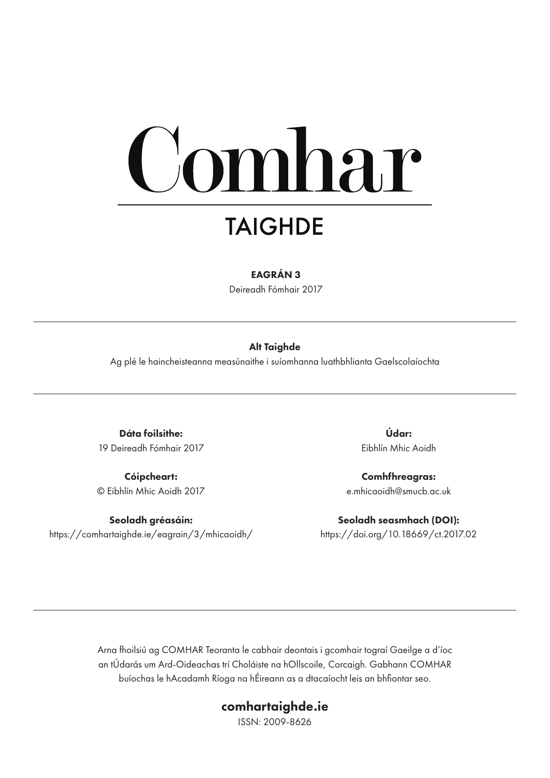# omhar

# **TAIGHDE**

#### EAGRÁN 3

Deireadh Fómhair 2017

#### Alt Taighde

Ag plé le haincheisteanna measúnaithe i suíomhanna luathbhlianta Gaelscolaíochta

Dáta foilsithe: 19 Deireadh Fómhair 2017

Cóipcheart: © Eibhlín Mhic Aoidh 2017

Seoladh gréasáin: https://comhartaighde.ie/eagrain/3/mhicaoidh/

Údar: Eibhlín Mhic Aoidh

Comhfhreagras: e.mhicaoidh@smucb.ac.uk

Seoladh seasmhach (DOI): https://doi.org/10.18669/ct.2017.02

Arna fhoilsiú ag COMHAR Teoranta le cabhair deontais i gcomhair tograí Gaeilge a d'íoc an tÚdarás um Ard-Oideachas trí Choláiste na hOllscoile, Corcaigh. Gabhann COMHAR buíochas le hAcadamh Ríoga na hÉireann as a dtacaíocht leis an bhfiontar seo.

### comhartaighde.ie

ISSN: 2009-8626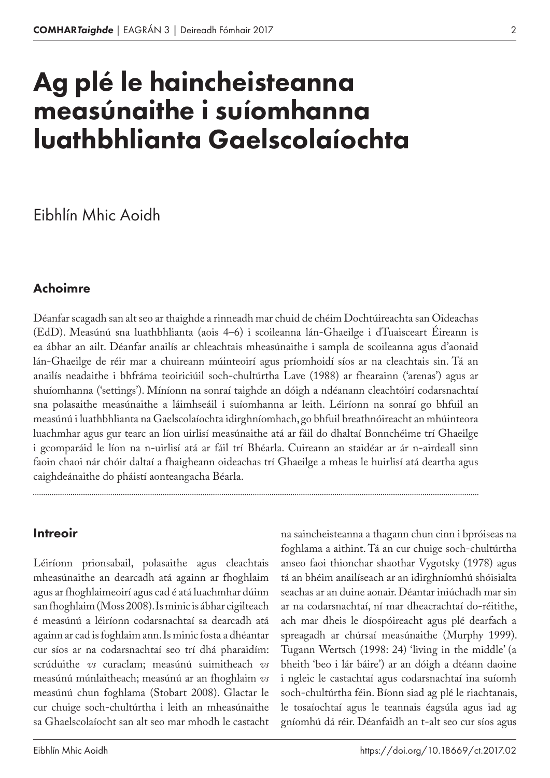# Ag plé le haincheisteanna measúnaithe i suíomhanna luathbhlianta Gaelscolaíochta

## Eibhlín Mhic Aoidh

#### Achoimre

Déanfar scagadh san alt seo ar thaighde a rinneadh mar chuid de chéim Dochtúireachta san Oideachas (EdD). Measúnú sna luathbhlianta (aois 4–6) i scoileanna lán-Ghaeilge i dTuaisceart Éireann is ea ábhar an ailt. Déanfar anailís ar chleachtais mheasúnaithe i sampla de scoileanna agus d'aonaid lán-Ghaeilge de réir mar a chuireann múinteoirí agus príomhoidí síos ar na cleachtais sin. Tá an anailís neadaithe i bhfráma teoiriciúil soch-chultúrtha Lave (1988) ar fhearainn ('arenas') agus ar shuíomhanna ('settings'). Míníonn na sonraí taighde an dóigh a ndéanann cleachtóirí codarsnachtaí sna polasaithe measúnaithe a láimhseáil i suíomhanna ar leith. Léiríonn na sonraí go bhfuil an measúnú i luathbhlianta na Gaelscolaíochta idirghníomhach, go bhfuil breathnóireacht an mhúinteora luachmhar agus gur tearc an líon uirlisí measúnaithe atá ar fáil do dhaltaí Bonnchéime trí Ghaeilge i gcomparáid le líon na n-uirlisí atá ar fáil trí Bhéarla. Cuireann an staidéar ar ár n-airdeall sinn faoin chaoi nár chóir daltaí a fhaigheann oideachas trí Ghaeilge a mheas le huirlisí atá deartha agus caighdeánaithe do pháistí aonteangacha Béarla.

#### **Intreoir**

Léiríonn prionsabail, polasaithe agus cleachtais mheasúnaithe an dearcadh atá againn ar fhoghlaim agus ar fhoghlaimeoirí agus cad é atá luachmhar dúinn san fhoghlaim (Moss 2008). Is minic is ábhar cigilteach é measúnú a léiríonn codarsnachtaí sa dearcadh atá againn ar cad is foghlaim ann. Is minic fosta a dhéantar cur síos ar na codarsnachtaí seo trí dhá pharaidím: scrúduithe *vs* curaclam; measúnú suimitheach *vs*  measúnú múnlaitheach; measúnú ar an fhoghlaim *vs* measúnú chun foghlama (Stobart 2008). Glactar le cur chuige soch-chultúrtha i leith an mheasúnaithe sa Ghaelscolaíocht san alt seo mar mhodh le castacht

Eibhlín Mhic Aoidh

na saincheisteanna a thagann chun cinn i bpróiseas na foghlama a aithint. Tá an cur chuige soch-chultúrtha anseo faoi thionchar shaothar Vygotsky (1978) agus tá an bhéim anailíseach ar an idirghníomhú shóisialta seachas ar an duine aonair. Déantar iniúchadh mar sin ar na codarsnachtaí, ní mar dheacrachtaí do-réitithe, ach mar dheis le díospóireacht agus plé dearfach a spreagadh ar chúrsaí measúnaithe (Murphy 1999). Tugann Wertsch (1998: 24) 'living in the middle' (a bheith 'beo i lár báire') ar an dóigh a dtéann daoine i ngleic le castachtaí agus codarsnachtaí ina suíomh soch-chultúrtha féin. Bíonn siad ag plé le riachtanais, le tosaíochtaí agus le teannais éagsúla agus iad ag gníomhú dá réir. Déanfaidh an t-alt seo cur síos agus

2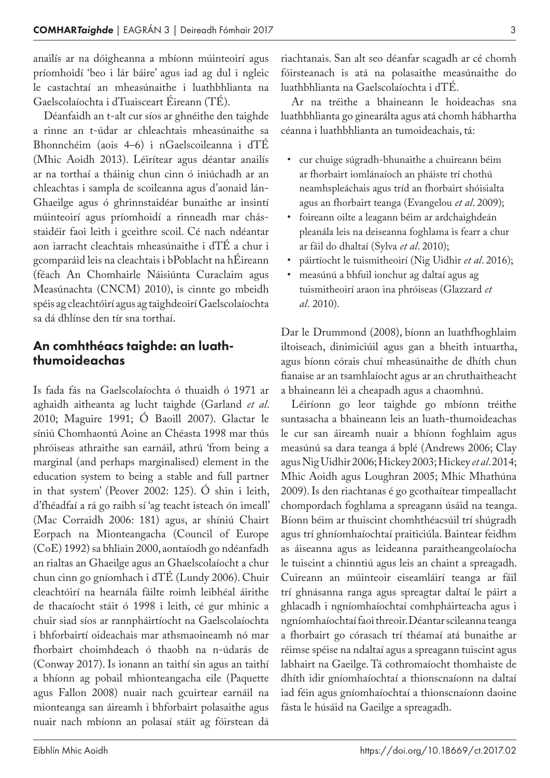anailís ar na dóigheanna a mbíonn múinteoirí agus príomhoidí 'beo i lár báire' agus iad ag dul i ngleic le castachtaí an mheasúnaithe i luathbhlianta na Gaelscolaíochta i dTuaisceart Éireann (TÉ).

Déanfaidh an t-alt cur síos ar ghnéithe den taighde a rinne an t-údar ar chleachtais mheasúnaithe sa Bhonnchéim (aois 4–6) i nGaelscoileanna i dTÉ (Mhic Aoidh 2013). Léirítear agus déantar anailís ar na torthaí a tháinig chun cinn ó iniúchadh ar an chleachtas i sampla de scoileanna agus d'aonaid lán-Ghaeilge agus ó ghrinnstaidéar bunaithe ar insintí múinteoirí agus príomhoidí a rinneadh mar chásstaidéir faoi leith i gceithre scoil. Cé nach ndéantar aon iarracht cleachtais mheasúnaithe i dTÉ a chur i gcomparáid leis na cleachtais i bPoblacht na hÉireann (féach An Chomhairle Náisiúnta Curaclaim agus Measúnachta (CNCM) 2010), is cinnte go mbeidh spéis ag cleachtóirí agus ag taighdeoirí Gaelscolaíochta sa dá dhlínse den tír sna torthaí.

#### An comhthéacs taighde: an luaththumoideachas

Is fada fás na Gaelscolaíochta ó thuaidh ó 1971 ar aghaidh aitheanta ag lucht taighde (Garland *et al*. 2010; Maguire 1991; Ó Baoill 2007). Glactar le síniú Chomhaontú Aoine an Chéasta 1998 mar thús phróiseas athraithe san earnáil, athrú 'from being a marginal (and perhaps marginalised) element in the education system to being a stable and full partner in that system' (Peover 2002: 125). Ó shin i leith, d'fhéadfaí a rá go raibh sí 'ag teacht isteach ón imeall' (Mac Corraidh 2006: 181) agus, ar shíniú Chairt Eorpach na Mionteangacha (Council of Europe (CoE) 1992) sa bhliain 2000, aontaíodh go ndéanfadh an rialtas an Ghaeilge agus an Ghaelscolaíocht a chur chun cinn go gníomhach i dTÉ (Lundy 2006). Chuir cleachtóirí na hearnála fáilte roimh leibhéal áirithe de thacaíocht stáit ó 1998 i leith, cé gur mhinic a chuir siad síos ar rannpháirtíocht na Gaelscolaíochta i bhforbairtí oideachais mar athsmaoineamh nó mar fhorbairt choimhdeach ó thaobh na n-údarás de (Conway 2017). Is ionann an taithí sin agus an taithí a bhíonn ag pobail mhionteangacha eile (Paquette agus Fallon 2008) nuair nach gcuirtear earnáil na mionteanga san áireamh i bhforbairt polasaithe agus nuair nach mbíonn an polasaí stáit ag fóirstean dá

riachtanais. San alt seo déanfar scagadh ar cé chomh fóirsteanach is atá na polasaithe measúnaithe do luathbhlianta na Gaelscolaíochta i dTÉ.

Ar na tréithe a bhaineann le hoideachas sna luathbhlianta go ginearálta agus atá chomh hábhartha céanna i luathbhlianta an tumoideachais, tá:

- cur chuige súgradh-bhunaithe a chuireann béim ar fhorbairt iomlánaíoch an pháiste trí chothú neamhspleáchais agus tríd an fhorbairt shóisialta agus an fhorbairt teanga (Evangelou *et al*. 2009);
- foireann oilte a leagann béim ar ardchaighdeán pleanála leis na deiseanna foghlama is fearr a chur ar fáil do dhaltaí (Sylva *et al*. 2010);
- páirtíocht le tuismitheoirí (Nig Uidhir *et al*. 2016);
- measúnú a bhfuil ionchur ag daltaí agus ag tuismitheoirí araon ina phróiseas (Glazzard *et al*. 2010).

Dar le Drummond (2008), bíonn an luathfhoghlaim iltoiseach, dinimiciúil agus gan a bheith intuartha, agus bíonn córais chuí mheasúnaithe de dhíth chun fianaise ar an tsamhlaíocht agus ar an chruthaitheacht a bhaineann léi a cheapadh agus a chaomhnú.

Léiríonn go leor taighde go mbíonn tréithe suntasacha a bhaineann leis an luath-thumoideachas le cur san áireamh nuair a bhíonn foghlaim agus measúnú sa dara teanga á bplé (Andrews 2006; Clay agus Nig Uidhir 2006; Hickey 2003; Hickey *et al*. 2014; Mhic Aoidh agus Loughran 2005; Mhic Mhathúna 2009). Is den riachtanas é go gcothaítear timpeallacht chompordach foghlama a spreagann úsáid na teanga. Bíonn béim ar thuiscint chomhthéacsúil trí shúgradh agus trí ghníomhaíochtaí praiticiúla. Baintear feidhm as áiseanna agus as leideanna paraitheangeolaíocha le tuiscint a chinntiú agus leis an chaint a spreagadh. Cuireann an múinteoir eiseamláirí teanga ar fáil trí ghnásanna ranga agus spreagtar daltaí le páirt a ghlacadh i ngníomhaíochtaí comhpháirteacha agus i ngníomhaíochtaí faoi threoir. Déantar scileanna teanga a fhorbairt go córasach trí théamaí atá bunaithe ar réimse spéise na ndaltaí agus a spreagann tuiscint agus labhairt na Gaeilge. Tá cothromaíocht thomhaiste de dhíth idir gníomhaíochtaí a thionscnaíonn na daltaí iad féin agus gníomhaíochtaí a thionscnaíonn daoine fásta le húsáid na Gaeilge a spreagadh.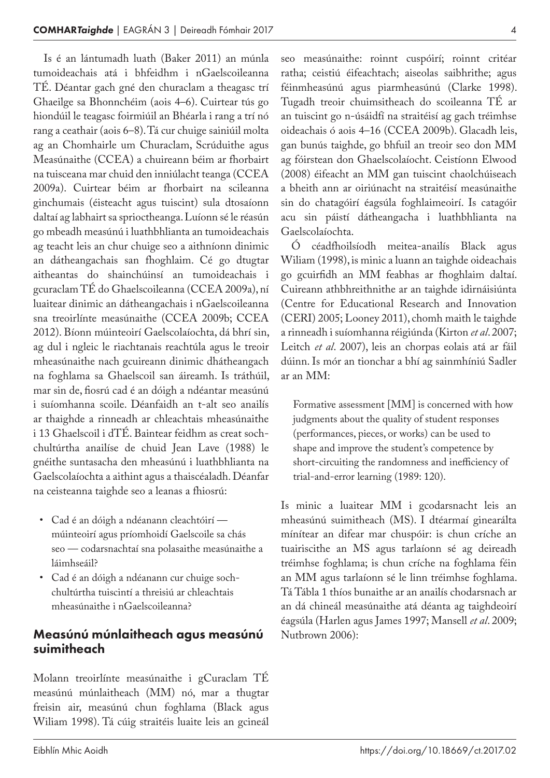Is é an lántumadh luath (Baker 2011) an múnla tumoideachais atá i bhfeidhm i nGaelscoileanna TÉ. Déantar gach gné den churaclam a theagasc trí Ghaeilge sa Bhonnchéim (aois 4–6). Cuirtear tús go hiondúil le teagasc foirmiúil an Bhéarla i rang a trí nó rang a ceathair (aois 6–8). Tá cur chuige sainiúil molta ag an Chomhairle um Churaclam, Scrúduithe agus Measúnaithe (CCEA) a chuireann béim ar fhorbairt na tuisceana mar chuid den inniúlacht teanga (CCEA 2009a). Cuirtear béim ar fhorbairt na scileanna ginchumais (éisteacht agus tuiscint) sula dtosaíonn daltaí ag labhairt sa sprioctheanga. Luíonn sé le réasún go mbeadh measúnú i luathbhlianta an tumoideachais ag teacht leis an chur chuige seo a aithníonn dinimic an dátheangachais san fhoghlaim. Cé go dtugtar aitheantas do shainchúinsí an tumoideachais i gcuraclam TÉ do Ghaelscoileanna (CCEA 2009a), ní luaitear dinimic an dátheangachais i nGaelscoileanna sna treoirlínte measúnaithe (CCEA 2009b; CCEA 2012). Bíonn múinteoirí Gaelscolaíochta, dá bhrí sin, ag dul i ngleic le riachtanais reachtúla agus le treoir mheasúnaithe nach gcuireann dinimic dhátheangach na foghlama sa Ghaelscoil san áireamh. Is tráthúil, mar sin de, fiosrú cad é an dóigh a ndéantar measúnú i suíomhanna scoile. Déanfaidh an t-alt seo anailís ar thaighde a rinneadh ar chleachtais mheasúnaithe i 13 Ghaelscoil i dTÉ. Baintear feidhm as creat sochchultúrtha anailíse de chuid Jean Lave (1988) le gnéithe suntasacha den mheasúnú i luathbhlianta na Gaelscolaíochta a aithint agus a thaiscéaladh. Déanfar na ceisteanna taighde seo a leanas a fhiosrú:

- Cad é an dóigh a ndéanann cleachtóirí múinteoirí agus príomhoidí Gaelscoile sa chás seo — codarsnachtaí sna polasaithe measúnaithe a láimhseáil?
- Cad é an dóigh a ndéanann cur chuige sochchultúrtha tuiscintí a threisiú ar chleachtais mheasúnaithe i nGaelscoileanna?

#### Measúnú múnlaitheach agus measúnú suimitheach

Molann treoirlínte measúnaithe i gCuraclam TÉ measúnú múnlaitheach (MM) nó, mar a thugtar freisin air, measúnú chun foghlama (Black agus Wiliam 1998). Tá cúig straitéis luaite leis an gcineál seo measúnaithe: roinnt cuspóirí; roinnt critéar ratha; ceistiú éifeachtach; aiseolas saibhrithe; agus féinmheasúnú agus piarmheasúnú (Clarke 1998). Tugadh treoir chuimsitheach do scoileanna TÉ ar an tuiscint go n-úsáidfí na straitéisí ag gach tréimhse oideachais ó aois 4–16 (CCEA 2009b). Glacadh leis, gan bunús taighde, go bhfuil an treoir seo don MM ag fóirstean don Ghaelscolaíocht. Ceistíonn Elwood (2008) éifeacht an MM gan tuiscint chaolchúiseach a bheith ann ar oiriúnacht na straitéisí measúnaithe sin do chatagóirí éagsúla foghlaimeoirí. Is catagóir acu sin páistí dátheangacha i luathbhlianta na Gaelscolaíochta.

Ó céadfhoilsíodh meitea-anailís Black agus Wiliam (1998), is minic a luann an taighde oideachais go gcuirfidh an MM feabhas ar fhoghlaim daltaí. Cuireann athbhreithnithe ar an taighde idirnáisiúnta (Centre for Educational Research and Innovation (CERI) 2005; Looney 2011), chomh maith le taighde a rinneadh i suíomhanna réigiúnda (Kirton *et al*. 2007; Leitch *et al*. 2007), leis an chorpas eolais atá ar fáil dúinn. Is mór an tionchar a bhí ag sainmhíniú Sadler ar an MM:

Formative assessment [MM] is concerned with how judgments about the quality of student responses (performances, pieces, or works) can be used to shape and improve the student's competence by short-circuiting the randomness and inefficiency of trial-and-error learning (1989: 120).

Is minic a luaitear MM i gcodarsnacht leis an mheasúnú suimitheach (MS). I dtéarmaí ginearálta mínítear an difear mar chuspóir: is chun críche an tuairiscithe an MS agus tarlaíonn sé ag deireadh tréimhse foghlama; is chun críche na foghlama féin an MM agus tarlaíonn sé le linn tréimhse foghlama. Tá Tábla 1 thíos bunaithe ar an anailís chodarsnach ar an dá chineál measúnaithe atá déanta ag taighdeoirí éagsúla (Harlen agus James 1997; Mansell *et al*. 2009; Nutbrown 2006):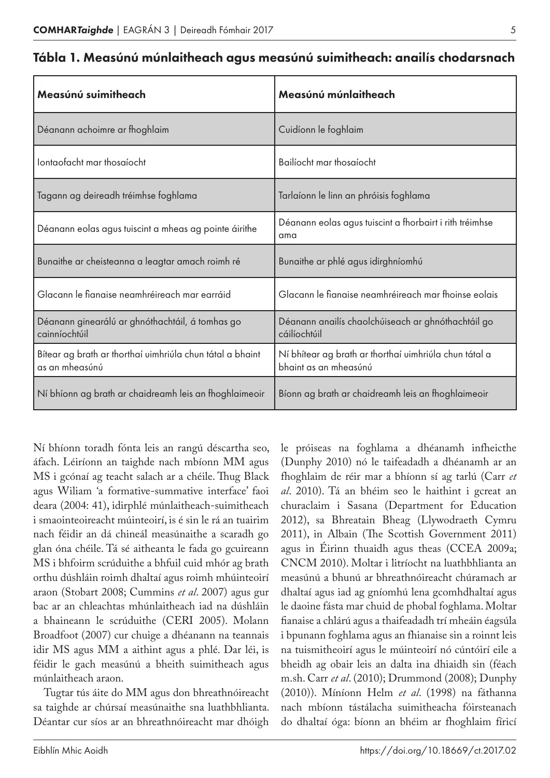| Measúnú suimitheach                                                         | Measúnú múnlaitheach                                                            |
|-----------------------------------------------------------------------------|---------------------------------------------------------------------------------|
| Déanann achoimre ar fhoghlaim                                               | Cuidíonn le foghlaim                                                            |
| Iontaofacht mar thosaíocht                                                  | Bailíocht mar thosaíocht                                                        |
| Tagann ag deireadh tréimhse foghlama                                        | Tarlaíonn le linn an phróisis foghlama                                          |
| Déanann eolas agus tuiscint a mheas ag pointe áirithe                       | Déanann eolas agus tuiscint a fhorbairt i rith tréimhse<br>ama                  |
| Bunaithe ar cheisteanna a leagtar amach roimh ré                            | Bunaithe ar phlé agus idirghníomhú                                              |
| Glacann le fianaise neamhréireach mar earráid                               | Glacann le fianaise neamhréireach mar fhoinse eolais                            |
| Déanann ginearálú ar ghnóthachtáil, á tomhas go<br>cainníochtúil            | Déanann anailís chaolchúiseach ar ghnóthachtáil go<br>cáilíochtúil              |
| Bítear ag brath ar thorthaí uimhriúla chun tátal a bhaint<br>as an mheasúnú | Ní bhítear ag brath ar thorthaí uimhriúla chun tátal a<br>bhaint as an mheasúnú |
| Ní bhíonn ag brath ar chaidreamh leis an fhoghlaimeoir                      | Bíonn ag brath ar chaidreamh leis an fhoghlaimeoir                              |

|  |  |  |  |  | Tábla 1. Measúnú múnlaitheach agus measúnú suimitheach: anailís chodarsnach |
|--|--|--|--|--|-----------------------------------------------------------------------------|
|--|--|--|--|--|-----------------------------------------------------------------------------|

Ní bhíonn toradh fónta leis an rangú déscartha seo, áfach. Léiríonn an taighde nach mbíonn MM agus MS i gcónaí ag teacht salach ar a chéile. Thug Black agus Wiliam 'a formative-summative interface' faoi deara (2004: 41), idirphlé múnlaitheach-suimitheach i smaointeoireacht múinteoirí, is é sin le rá an tuairim nach féidir an dá chineál measúnaithe a scaradh go glan óna chéile. Tá sé aitheanta le fada go gcuireann MS i bhfoirm scrúduithe a bhfuil cuid mhór ag brath orthu dúshláin roimh dhaltaí agus roimh mhúinteoirí araon (Stobart 2008; Cummins *et al*. 2007) agus gur bac ar an chleachtas mhúnlaitheach iad na dúshláin a bhaineann le scrúduithe (CERI 2005). Molann Broadfoot (2007) cur chuige a dhéanann na teannais idir MS agus MM a aithint agus a phlé. Dar léi, is féidir le gach measúnú a bheith suimitheach agus múnlaitheach araon.

Tugtar tús áite do MM agus don bhreathnóireacht sa taighde ar chúrsaí measúnaithe sna luathbhlianta. Déantar cur síos ar an bhreathnóireacht mar dhóigh le próiseas na foghlama a dhéanamh infheicthe (Dunphy 2010) nó le taifeadadh a dhéanamh ar an fhoghlaim de réir mar a bhíonn sí ag tarlú (Carr *et al*. 2010). Tá an bhéim seo le haithint i gcreat an churaclaim i Sasana (Department for Education 2012), sa Bhreatain Bheag (Llywodraeth Cymru 2011), in Albain (The Scottish Government 2011) agus in Éirinn thuaidh agus theas (CCEA 2009a; CNCM 2010). Moltar i litríocht na luathbhlianta an measúnú a bhunú ar bhreathnóireacht chúramach ar dhaltaí agus iad ag gníomhú lena gcomhdhaltaí agus le daoine fásta mar chuid de phobal foghlama. Moltar fianaise a chlárú agus a thaifeadadh trí mheáin éagsúla i bpunann foghlama agus an fhianaise sin a roinnt leis na tuismitheoirí agus le múinteoirí nó cúntóirí eile a bheidh ag obair leis an dalta ina dhiaidh sin (féach m.sh. Carr *et al*. (2010); Drummond (2008); Dunphy (2010)). Míníonn Helm *et al*. (1998) na fáthanna nach mbíonn tástálacha suimitheacha fóirsteanach do dhaltaí óga: bíonn an bhéim ar fhoghlaim fíricí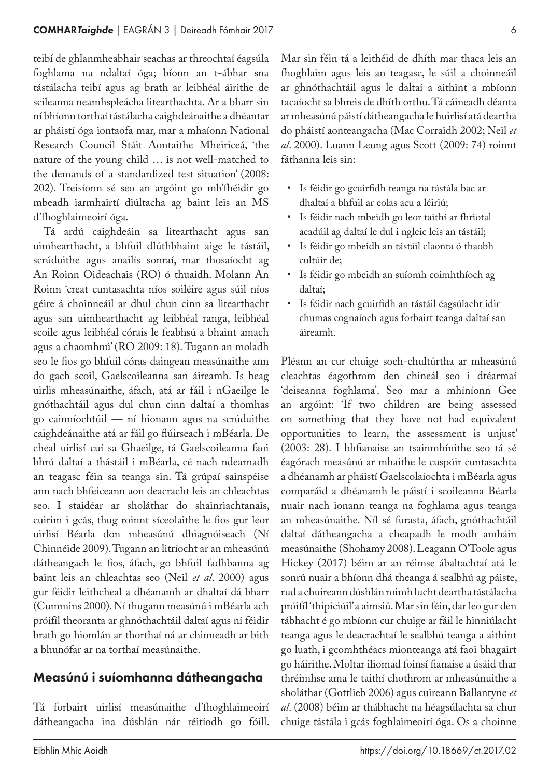teibí de ghlanmheabhair seachas ar threochtaí éagsúla foghlama na ndaltaí óga; bíonn an t-ábhar sna tástálacha teibí agus ag brath ar leibhéal áirithe de scileanna neamhspleácha litearthachta. Ar a bharr sin ní bhíonn torthaí tástálacha caighdeánaithe a dhéantar ar pháistí óga iontaofa mar, mar a mhaíonn National Research Council Stáit Aontaithe Mheiriceá, 'the nature of the young child … is not well-matched to the demands of a standardized test situation' (2008: 202). Treisíonn sé seo an argóint go mb'fhéidir go mbeadh iarmhairtí diúltacha ag baint leis an MS d'fhoghlaimeoirí óga.

Tá ardú caighdeáin sa litearthacht agus san uimhearthacht, a bhfuil dlúthbhaint aige le tástáil, scrúduithe agus anailís sonraí, mar thosaíocht ag An Roinn Oideachais (RO) ó thuaidh. Molann An Roinn 'creat cuntasachta níos soiléire agus súil níos géire á choinneáil ar dhul chun cinn sa litearthacht agus san uimhearthacht ag leibhéal ranga, leibhéal scoile agus leibhéal córais le feabhsú a bhaint amach agus a chaomhnú' (RO 2009: 18). Tugann an moladh seo le fios go bhfuil córas daingean measúnaithe ann do gach scoil, Gaelscoileanna san áireamh. Is beag uirlis mheasúnaithe, áfach, atá ar fáil i nGaeilge le gnóthachtáil agus dul chun cinn daltaí a thomhas go cainníochtúil — ní hionann agus na scrúduithe caighdeánaithe atá ar fáil go flúirseach i mBéarla. De cheal uirlisí cuí sa Ghaeilge, tá Gaelscoileanna faoi bhrú daltaí a thástáil i mBéarla, cé nach ndearnadh an teagasc féin sa teanga sin. Tá grúpaí sainspéise ann nach bhfeiceann aon deacracht leis an chleachtas seo. I staidéar ar sholáthar do shainriachtanais, cuirim i gcás, thug roinnt síceolaithe le fios gur leor uirlisí Béarla don mheasúnú dhiagnóiseach (Ní Chinnéide 2009). Tugann an litríocht ar an mheasúnú dátheangach le fios, áfach, go bhfuil fadhbanna ag baint leis an chleachtas seo (Neil *et al*. 2000) agus gur féidir leithcheal a dhéanamh ar dhaltaí dá bharr (Cummins 2000). Ní thugann measúnú i mBéarla ach próifíl theoranta ar ghnóthachtáil daltaí agus ní féidir brath go hiomlán ar thorthaí ná ar chinneadh ar bith a bhunófar ar na torthaí measúnaithe.

#### Measúnú i suíomhanna dátheangacha

Tá forbairt uirlisí measúnaithe d'fhoghlaimeoirí dátheangacha ina dúshlán nár réitíodh go fóill.

ar ghnóthachtáil agus le daltaí a aithint a mbíonn tacaíocht sa bhreis de dhíth orthu. Tá cáineadh déanta ar mheasúnú páistí dátheangacha le huirlisí atá deartha do pháistí aonteangacha (Mac Corraidh 2002; Neil *et al*. 2000). Luann Leung agus Scott (2009: 74) roinnt fáthanna leis sin: • Is féidir go gcuirfidh teanga na tástála bac ar dhaltaí a bhfuil ar eolas acu a léiriú;

> • Is féidir nach mbeidh go leor taithí ar fhriotal acadúil ag daltaí le dul i ngleic leis an tástáil;

Mar sin féin tá a leithéid de dhíth mar thaca leis an fhoghlaim agus leis an teagasc, le súil a choinneáil

- Is féidir go mbeidh an tástáil claonta ó thaobh cultúir de;
- Is féidir go mbeidh an suíomh coimhthíoch ag daltaí;
- Is féidir nach gcuirfidh an tástáil éagsúlacht idir chumas cognaíoch agus forbairt teanga daltaí san áireamh.

Pléann an cur chuige soch-chultúrtha ar mheasúnú cleachtas éagothrom den chineál seo i dtéarmaí 'deiseanna foghlama'. Seo mar a mhíníonn Gee an argóint: 'If two children are being assessed on something that they have not had equivalent opportunities to learn, the assessment is unjust' (2003: 28). I bhfianaise an tsainmhínithe seo tá sé éagórach measúnú ar mhaithe le cuspóir cuntasachta a dhéanamh ar pháistí Gaelscolaíochta i mBéarla agus comparáid a dhéanamh le páistí i scoileanna Béarla nuair nach ionann teanga na foghlama agus teanga an mheasúnaithe. Níl sé furasta, áfach, gnóthachtáil daltaí dátheangacha a cheapadh le modh amháin measúnaithe (Shohamy 2008). Leagann O'Toole agus Hickey (2017) béim ar an réimse ábaltachtaí atá le sonrú nuair a bhíonn dhá theanga á sealbhú ag páiste, rud a chuireann dúshlán roimh lucht deartha tástálacha próifíl 'thipiciúil' a aimsiú. Mar sin féin, dar leo gur den tábhacht é go mbíonn cur chuige ar fáil le hinniúlacht teanga agus le deacrachtaí le sealbhú teanga a aithint go luath, i gcomhthéacs mionteanga atá faoi bhagairt go háirithe. Moltar iliomad foinsí fianaise a úsáid thar thréimhse ama le taithí chothrom ar mheasúnuithe a sholáthar (Gottlieb 2006) agus cuireann Ballantyne *et al*. (2008) béim ar thábhacht na héagsúlachta sa chur chuige tástála i gcás foghlaimeoirí óga. Os a choinne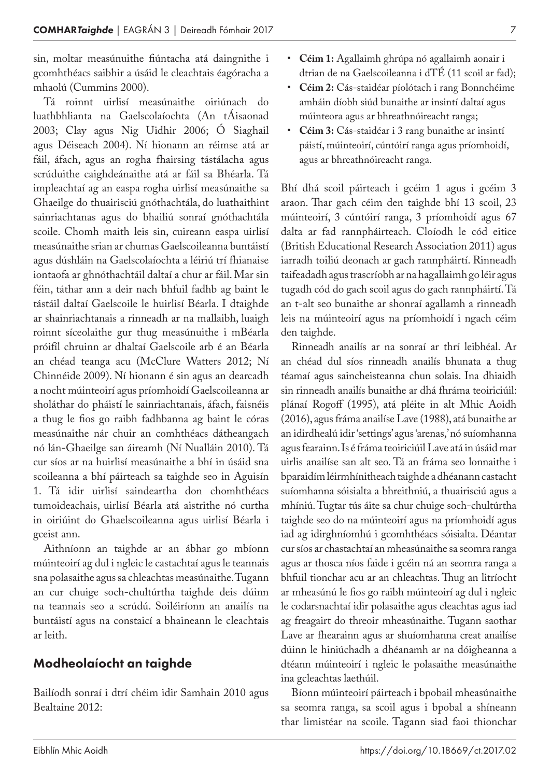sin, moltar measúnuithe fiúntacha atá daingnithe i gcomhthéacs saibhir a úsáid le cleachtais éagóracha a mhaolú (Cummins 2000).

Tá roinnt uirlisí measúnaithe oiriúnach do luathbhlianta na Gaelscolaíochta (An tÁisaonad 2003; Clay agus Nig Uidhir 2006; Ó Siaghail agus Déiseach 2004). Ní hionann an réimse atá ar fáil, áfach, agus an rogha fhairsing tástálacha agus scrúduithe caighdeánaithe atá ar fáil sa Bhéarla. Tá impleachtaí ag an easpa rogha uirlisí measúnaithe sa Ghaeilge do thuairisciú gnóthachtála, do luathaithint sainriachtanas agus do bhailiú sonraí gnóthachtála scoile. Chomh maith leis sin, cuireann easpa uirlisí measúnaithe srian ar chumas Gaelscoileanna buntáistí agus dúshláin na Gaelscolaíochta a léiriú trí fhianaise iontaofa ar ghnóthachtáil daltaí a chur ar fáil. Mar sin féin, táthar ann a deir nach bhfuil fadhb ag baint le tástáil daltaí Gaelscoile le huirlisí Béarla. I dtaighde ar shainriachtanais a rinneadh ar na mallaibh, luaigh roinnt síceolaithe gur thug measúnuithe i mBéarla próifíl chruinn ar dhaltaí Gaelscoile arb é an Béarla an chéad teanga acu (McClure Watters 2012; Ní Chinnéide 2009). Ní hionann é sin agus an dearcadh a nocht múinteoirí agus príomhoidí Gaelscoileanna ar sholáthar do pháistí le sainriachtanais, áfach, faisnéis a thug le fios go raibh fadhbanna ag baint le córas measúnaithe nár chuir an comhthéacs dátheangach nó lán-Ghaeilge san áireamh (Ní Nualláin 2010). Tá cur síos ar na huirlisí measúnaithe a bhí in úsáid sna scoileanna a bhí páirteach sa taighde seo in Aguisín 1. Tá idir uirlisí saindeartha don chomhthéacs tumoideachais, uirlisí Béarla atá aistrithe nó curtha in oiriúint do Ghaelscoileanna agus uirlisí Béarla i gceist ann.

Aithníonn an taighde ar an ábhar go mbíonn múinteoirí ag dul i ngleic le castachtaí agus le teannais sna polasaithe agus sa chleachtas measúnaithe. Tugann an cur chuige soch-chultúrtha taighde deis dúinn na teannais seo a scrúdú. Soiléiríonn an anailís na buntáistí agus na constaicí a bhaineann le cleachtais ar leith.

#### Modheolaíocht an taighde

Bailíodh sonraí i dtrí chéim idir Samhain 2010 agus Bealtaine 2012:

- **Céim 1:** Agallaimh ghrúpa nó agallaimh aonair i dtrian de na Gaelscoileanna i dTÉ (11 scoil ar fad);
- **Céim 2:** Cás-staidéar píolótach i rang Bonnchéime amháin díobh siúd bunaithe ar insintí daltaí agus múinteora agus ar bhreathnóireacht ranga;
- **Céim 3:** Cás-staidéar i 3 rang bunaithe ar insintí páistí, múinteoirí, cúntóirí ranga agus príomhoidí, agus ar bhreathnóireacht ranga.

Bhí dhá scoil páirteach i gcéim 1 agus i gcéim 3 araon. Thar gach céim den taighde bhí 13 scoil, 23 múinteoirí, 3 cúntóirí ranga, 3 príomhoidí agus 67 dalta ar fad rannpháirteach. Cloíodh le cód eitice (British Educational Research Association 2011) agus iarradh toiliú deonach ar gach rannpháirtí. Rinneadh taifeadadh agus trascríobh ar na hagallaimh go léir agus tugadh cód do gach scoil agus do gach rannpháirtí. Tá an t-alt seo bunaithe ar shonraí agallamh a rinneadh leis na múinteoirí agus na príomhoidí i ngach céim den taighde.

Rinneadh anailís ar na sonraí ar thrí leibhéal. Ar an chéad dul síos rinneadh anailís bhunata a thug téamaí agus saincheisteanna chun solais. Ina dhiaidh sin rinneadh anailís bunaithe ar dhá fhráma teoiriciúil: plánaí Rogoff (1995), atá pléite in alt Mhic Aoidh (2016), agus fráma anailíse Lave (1988), atá bunaithe ar an idirdhealú idir 'settings' agus 'arenas,' nó suíomhanna agus fearainn. Is é fráma teoiriciúil Lave atá in úsáid mar uirlis anailíse san alt seo. Tá an fráma seo lonnaithe i bparaidím léirmhínitheach taighde a dhéanann castacht suíomhanna sóisialta a bhreithniú, a thuairisciú agus a mhíniú. Tugtar tús áite sa chur chuige soch-chultúrtha taighde seo do na múinteoirí agus na príomhoidí agus iad ag idirghníomhú i gcomhthéacs sóisialta. Déantar cur síos ar chastachtaí an mheasúnaithe sa seomra ranga agus ar thosca níos faide i gcéin ná an seomra ranga a bhfuil tionchar acu ar an chleachtas. Thug an litríocht ar mheasúnú le fios go raibh múinteoirí ag dul i ngleic le codarsnachtaí idir polasaithe agus cleachtas agus iad ag freagairt do threoir mheasúnaithe. Tugann saothar Lave ar fhearainn agus ar shuíomhanna creat anailíse dúinn le hiniúchadh a dhéanamh ar na dóigheanna a dtéann múinteoirí i ngleic le polasaithe measúnaithe ina gcleachtas laethúil.

Bíonn múinteoirí páirteach i bpobail mheasúnaithe sa seomra ranga, sa scoil agus i bpobal a shíneann thar limistéar na scoile. Tagann siad faoi thionchar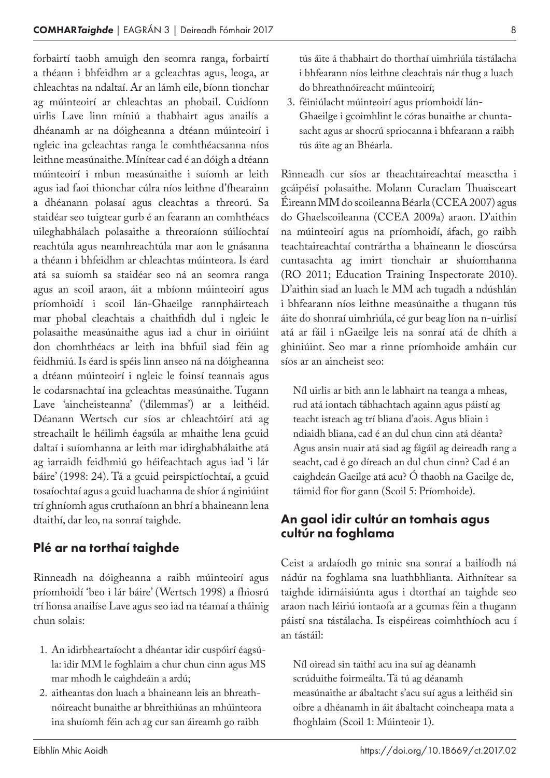forbairtí taobh amuigh den seomra ranga, forbairtí a théann i bhfeidhm ar a gcleachtas agus, leoga, ar chleachtas na ndaltaí. Ar an lámh eile, bíonn tionchar ag múinteoirí ar chleachtas an phobail. Cuidíonn uirlis Lave linn míniú a thabhairt agus anailís a dhéanamh ar na dóigheanna a dtéann múinteoirí i ngleic ina gcleachtas ranga le comhthéacsanna níos leithne measúnaithe. Mínítear cad é an dóigh a dtéann múinteoirí i mbun measúnaithe i suíomh ar leith agus iad faoi thionchar cúlra níos leithne d'fhearainn a dhéanann polasaí agus cleachtas a threorú. Sa staidéar seo tuigtear gurb é an fearann an comhthéacs uileghabhálach polasaithe a threoraíonn súilíochtaí reachtúla agus neamhreachtúla mar aon le gnásanna a théann i bhfeidhm ar chleachtas múinteora. Is éard atá sa suíomh sa staidéar seo ná an seomra ranga agus an scoil araon, áit a mbíonn múinteoirí agus príomhoidí i scoil lán-Ghaeilge rannpháirteach mar phobal cleachtais a chaithfidh dul i ngleic le polasaithe measúnaithe agus iad a chur in oiriúint don chomhthéacs ar leith ina bhfuil siad féin ag feidhmiú. Is éard is spéis linn anseo ná na dóigheanna a dtéann múinteoirí i ngleic le foinsí teannais agus le codarsnachtaí ina gcleachtas measúnaithe. Tugann Lave 'aincheisteanna' ('dilemmas') ar a leithéid. Déanann Wertsch cur síos ar chleachtóirí atá ag streachailt le héilimh éagsúla ar mhaithe lena gcuid daltaí i suíomhanna ar leith mar idirghabhálaithe atá ag iarraidh feidhmiú go héifeachtach agus iad 'i lár báire' (1998: 24). Tá a gcuid peirspictíochtaí, a gcuid tosaíochtaí agus a gcuid luachanna de shíor á nginiúint trí ghníomh agus cruthaíonn an bhrí a bhaineann lena dtaithí, dar leo, na sonraí taighde.

#### Plé ar na torthaí taighde

Rinneadh na dóigheanna a raibh múinteoirí agus príomhoidí 'beo i lár báire' (Wertsch 1998) a fhiosrú trí lionsa anailíse Lave agus seo iad na téamaí a tháinig chun solais:

- 1. An idirbheartaíocht a dhéantar idir cuspóirí éagsúla: idir MM le foghlaim a chur chun cinn agus MS mar mhodh le caighdeáin a ardú;
- 2. aitheantas don luach a bhaineann leis an bhreathnóireacht bunaithe ar bhreithiúnas an mhúinteora ina shuíomh féin ach ag cur san áireamh go raibh

8

tús áite á thabhairt do thorthaí uimhriúla tástálacha i bhfearann níos leithne cleachtais nár thug a luach do bhreathnóireacht múinteoirí;

3. féiniúlacht múinteoirí agus príomhoidí lán-Ghaeilge i gcoimhlint le córas bunaithe ar chuntasacht agus ar shocrú spriocanna i bhfearann a raibh tús áite ag an Bhéarla.

Rinneadh cur síos ar theachtaireachtaí measctha i gcáipéisí polasaithe. Molann Curaclam Thuaisceart Éireann MM do scoileanna Béarla (CCEA 2007) agus do Ghaelscoileanna (CCEA 2009a) araon. D'aithin na múinteoirí agus na príomhoidí, áfach, go raibh teachtaireachtaí contrártha a bhaineann le dioscúrsa cuntasachta ag imirt tionchair ar shuíomhanna (RO 2011; Education Training Inspectorate 2010). D'aithin siad an luach le MM ach tugadh a ndúshlán i bhfearann níos leithne measúnaithe a thugann tús áite do shonraí uimhriúla, cé gur beag líon na n-uirlisí atá ar fáil i nGaeilge leis na sonraí atá de dhíth a ghiniúint. Seo mar a rinne príomhoide amháin cur síos ar an aincheist seo:

Níl uirlis ar bith ann le labhairt na teanga a mheas, rud atá iontach tábhachtach againn agus páistí ag teacht isteach ag trí bliana d'aois. Agus bliain i ndiaidh bliana, cad é an dul chun cinn atá déanta? Agus ansin nuair atá siad ag fágáil ag deireadh rang a seacht, cad é go díreach an dul chun cinn? Cad é an caighdeán Gaeilge atá acu? Ó thaobh na Gaeilge de, táimid fíor fíor gann (Scoil 5: Príomhoide).

#### An gaol idir cultúr an tomhais agus cultúr na foghlama

Ceist a ardaíodh go minic sna sonraí a bailíodh ná nádúr na foghlama sna luathbhlianta. Aithnítear sa taighde idirnáisiúnta agus i dtorthaí an taighde seo araon nach léiriú iontaofa ar a gcumas féin a thugann páistí sna tástálacha. Is eispéireas coimhthíoch acu í an tástáil:

Níl oiread sin taithí acu ina suí ag déanamh scrúduithe foirmeálta. Tá tú ag déanamh measúnaithe ar ábaltacht s'acu suí agus a leithéid sin oibre a dhéanamh in áit ábaltacht coincheapa mata a fhoghlaim (Scoil 1: Múinteoir 1).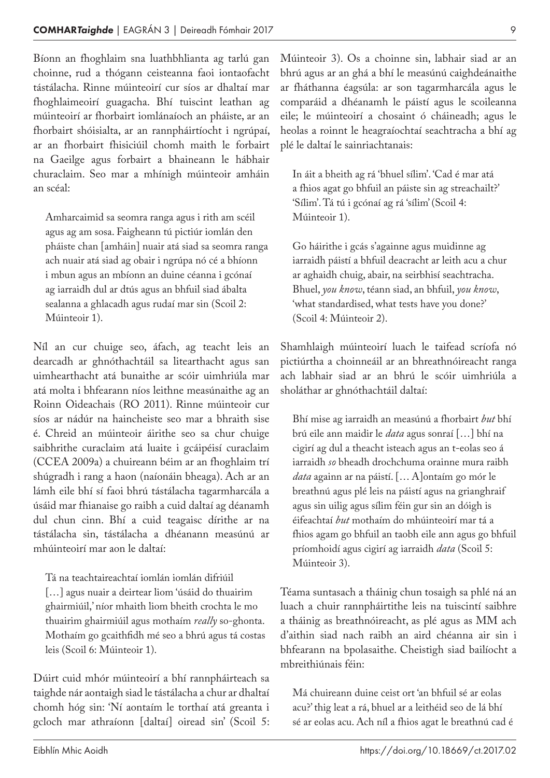Bíonn an fhoghlaim sna luathbhlianta ag tarlú gan choinne, rud a thógann ceisteanna faoi iontaofacht tástálacha. Rinne múinteoirí cur síos ar dhaltaí mar fhoghlaimeoirí guagacha. Bhí tuiscint leathan ag múinteoirí ar fhorbairt iomlánaíoch an pháiste, ar an fhorbairt shóisialta, ar an rannpháirtíocht i ngrúpaí, ar an fhorbairt fhisiciúil chomh maith le forbairt na Gaeilge agus forbairt a bhaineann le hábhair churaclaim. Seo mar a mhínigh múinteoir amháin an scéal:

Amharcaimid sa seomra ranga agus i rith am scéil agus ag am sosa. Faigheann tú pictiúr iomlán den pháiste chan [amháin] nuair atá siad sa seomra ranga ach nuair atá siad ag obair i ngrúpa nó cé a bhíonn i mbun agus an mbíonn an duine céanna i gcónaí ag iarraidh dul ar dtús agus an bhfuil siad ábalta sealanna a ghlacadh agus rudaí mar sin (Scoil 2: Múinteoir 1).

Níl an cur chuige seo, áfach, ag teacht leis an dearcadh ar ghnóthachtáil sa litearthacht agus san uimhearthacht atá bunaithe ar scóir uimhriúla mar atá molta i bhfearann níos leithne measúnaithe ag an Roinn Oideachais (RO 2011). Rinne múinteoir cur síos ar nádúr na haincheiste seo mar a bhraith sise é. Chreid an múinteoir áirithe seo sa chur chuige saibhrithe curaclaim atá luaite i gcáipéisí curaclaim (CCEA 2009a) a chuireann béim ar an fhoghlaim trí shúgradh i rang a haon (naíonáin bheaga). Ach ar an lámh eile bhí sí faoi bhrú tástálacha tagarmharcála a úsáid mar fhianaise go raibh a cuid daltaí ag déanamh dul chun cinn. Bhí a cuid teagaisc dírithe ar na tástálacha sin, tástálacha a dhéanann measúnú ar mhúinteoirí mar aon le daltaí:

Tá na teachtaireachtaí iomlán iomlán difriúil [...] agus nuair a deirtear liom 'úsáid do thuairim ghairmiúil,' níor mhaith liom bheith crochta le mo thuairim ghairmiúil agus mothaím *really* so-ghonta. Mothaím go gcaithfidh mé seo a bhrú agus tá costas leis (Scoil 6: Múinteoir 1).

Dúirt cuid mhór múinteoirí a bhí rannpháirteach sa taighde nár aontaigh siad le tástálacha a chur ar dhaltaí chomh hóg sin: 'Ní aontaím le torthaí atá greanta i gcloch mar athraíonn [daltaí] oiread sin' (Scoil 5: Múinteoir 3). Os a choinne sin, labhair siad ar an bhrú agus ar an ghá a bhí le measúnú caighdeánaithe ar fháthanna éagsúla: ar son tagarmharcála agus le comparáid a dhéanamh le páistí agus le scoileanna eile; le múinteoirí a chosaint ó cháineadh; agus le heolas a roinnt le heagraíochtaí seachtracha a bhí ag plé le daltaí le sainriachtanais:

In áit a bheith ag rá 'bhuel sílim'. 'Cad é mar atá a fhios agat go bhfuil an páiste sin ag streachailt?' 'Sílim'. Tá tú i gcónaí ag rá 'sílim' (Scoil 4: Múinteoir 1).

Go háirithe i gcás s'againne agus muidinne ag iarraidh páistí a bhfuil deacracht ar leith acu a chur ar aghaidh chuig, abair, na seirbhisí seachtracha. Bhuel, *you know*, téann siad, an bhfuil, *you know*, 'what standardised, what tests have you done?' (Scoil 4: Múinteoir 2).

Shamhlaigh múinteoirí luach le taifead scríofa nó pictiúrtha a choinneáil ar an bhreathnóireacht ranga ach labhair siad ar an bhrú le scóir uimhriúla a sholáthar ar ghnóthachtáil daltaí:

Bhí mise ag iarraidh an measúnú a fhorbairt *but* bhí brú eile ann maidir le *data* agus sonraí […] bhí na cigirí ag dul a theacht isteach agus an t-eolas seo á iarraidh *so* bheadh drochchuma orainne mura raibh *data* againn ar na páistí. [… A]ontaím go mór le breathnú agus plé leis na páistí agus na grianghraif agus sin uilig agus sílim féin gur sin an dóigh is éifeachtaí *but* mothaím do mhúinteoirí mar tá a fhios agam go bhfuil an taobh eile ann agus go bhfuil príomhoidí agus cigirí ag iarraidh *data* (Scoil 5: Múinteoir 3).

Téama suntasach a tháinig chun tosaigh sa phlé ná an luach a chuir rannpháirtithe leis na tuiscintí saibhre a tháinig as breathnóireacht, as plé agus as MM ach d'aithin siad nach raibh an aird chéanna air sin i bhfearann na bpolasaithe. Cheistigh siad bailíocht a mbreithiúnais féin:

Má chuireann duine ceist ort 'an bhfuil sé ar eolas acu?' thig leat a rá, bhuel ar a leithéid seo de lá bhí sé ar eolas acu. Ach níl a fhios agat le breathnú cad é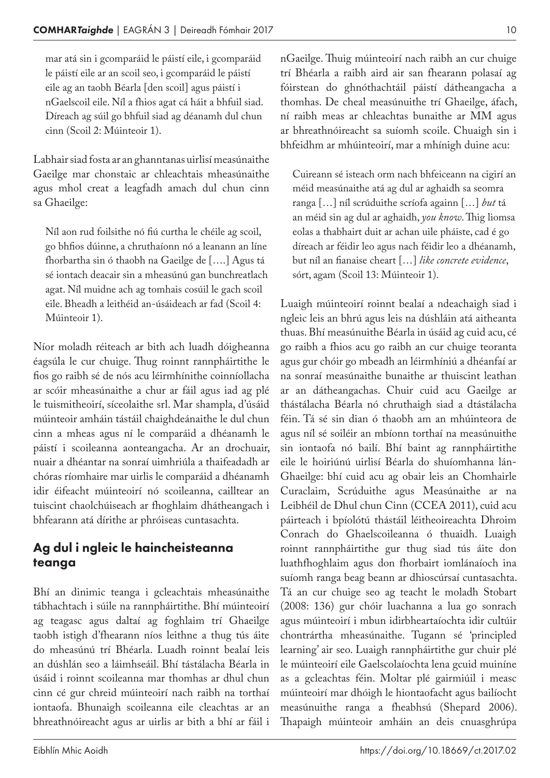mar atá sin i gcomparáid le páistí eile, i gcomparáid le páistí eile ar an scoil seo, i gcomparáid le páistí eile ag an taobh Béarla [den scoil] agus páistí i nGaelscoil eile. Níl a fhios agat cá háit a bhfuil siad. Díreach ag súil go bhfuil siad ag déanamh dul chun cinn (Scoil 2: Múinteoir 1).

Labhair siad fosta ar an ghanntanas uirlisí measúnaithe Gaeilge mar chonstaic ar chleachtais mheasúnaithe agus mhol creat a leagfadh amach dul chun cinn sa Ghaeilge:

Níl aon rud foilsithe nó fiú curtha le chéile ag scoil, go bhfios dúinne, a chruthaíonn nó a leanann an líne fhorbartha sin ó thaobh na Gaeilge de [….] Agus tá sé iontach deacair sin a mheasúnú gan bunchreatlach agat. Níl muidne ach ag tomhais cosúil le gach scoil eile. Bheadh a leithéid an-úsáideach ar fad (Scoil 4: Múinteoir 1).

Níor moladh réiteach ar bith ach luadh dóigheanna éagsúla le cur chuige. Thug roinnt rannpháirtithe le fios go raibh sé de nós acu léirmhínithe coinníollacha ar scóir mheasúnaithe a chur ar fáil agus iad ag plé le tuismitheoirí, síceolaithe srl. Mar shampla, d'úsáid múinteoir amháin tástáil chaighdeánaithe le dul chun cinn a mheas agus ní le comparáid a dhéanamh le páistí i scoileanna aonteangacha. Ar an drochuair, nuair a dhéantar na sonraí uimhriúla a thaifeadadh ar chóras ríomhaire mar uirlis le comparáid a dhéanamh idir éifeacht múinteoirí nó scoileanna, cailltear an tuiscint chaolchúiseach ar fhoghlaim dhátheangach i bhfearann atá dírithe ar phróiseas cuntasachta.

#### Ag dul i ngleic le haincheisteanna teanga

Bhí an dinimic teanga i gcleachtais mheasúnaithe tábhachtach i súile na rannpháirtithe. Bhí múinteoirí ag teagasc agus daltaí ag foghlaim trí Ghaeilge taobh istigh d'fhearann níos leithne a thug tús áite do mheasúnú trí Bhéarla. Luadh roinnt bealaí leis an dúshlán seo a láimhseáil. Bhí tástálacha Béarla in úsáid i roinnt scoileanna mar thomhas ar dhul chun cinn cé gur chreid múinteoirí nach raibh na torthaí iontaofa. Bhunaigh scoileanna eile cleachtas ar an bhreathnóireacht agus ar uirlis ar bith a bhí ar fáil i

nGaeilge. Thuig múinteoirí nach raibh an cur chuige trí Bhéarla a raibh aird air san fhearann polasaí ag fóirstean do ghnóthachtáil páistí dátheangacha a thomhas. De cheal measúnuithe trí Ghaeilge, áfach, ní raibh meas ar chleachtas bunaithe ar MM agus ar bhreathnóireacht sa suíomh scoile. Chuaigh sin i bhfeidhm ar mhúinteoirí, mar a mhínigh duine acu:

Cuireann sé isteach orm nach bhfeiceann na cigirí an méid measúnaithe atá ag dul ar aghaidh sa seomra ranga […] níl scrúduithe scríofa againn […] *but* tá an méid sin ag dul ar aghaidh, *you know*. Thig liomsa eolas a thabhairt duit ar achan uile pháiste, cad é go díreach ar féidir leo agus nach féidir leo a dhéanamh, but níl an fianaise cheart […] *like concrete evidence*, sórt, agam (Scoil 13: Múinteoir 1).

Luaigh múinteoirí roinnt bealaí a ndeachaigh siad i ngleic leis an bhrú agus leis na dúshláin atá aitheanta thuas. Bhí measúnuithe Béarla in úsáid ag cuid acu, cé go raibh a fhios acu go raibh an cur chuige teoranta agus gur chóir go mbeadh an léirmhíniú a dhéanfaí ar na sonraí measúnaithe bunaithe ar thuiscint leathan ar an dátheangachas. Chuir cuid acu Gaeilge ar thástálacha Béarla nó chruthaigh siad a dtástálacha féin. Tá sé sin dian ó thaobh am an mhúinteora de agus níl sé soiléir an mbíonn torthaí na measúnuithe sin iontaofa nó bailí. Bhí baint ag rannpháirtithe eile le hoiriúnú uirlisí Béarla do shuíomhanna lán-Ghaeilge: bhí cuid acu ag obair leis an Chomhairle Curaclaim, Scrúduithe agus Measúnaithe ar na Leibhéil de Dhul chun Cinn (CCEA 2011), cuid acu páirteach i bpíolótú thástáil léitheoireachta Dhroim Conrach do Ghaelscoileanna ó thuaidh. Luaigh roinnt rannpháirtithe gur thug siad tús áite don luathfhoghlaim agus don fhorbairt iomlánaíoch ina suíomh ranga beag beann ar dhioscúrsaí cuntasachta. Tá an cur chuige seo ag teacht le moladh Stobart (2008: 136) gur chóir luachanna a lua go sonrach agus múinteoirí i mbun idirbheartaíochta idir cultúir chontrártha mheasúnaithe. Tugann sé 'principled learning' air seo. Luaigh rannpháirtithe gur chuir plé le múinteoirí eile Gaelscolaíochta lena gcuid muiníne as a gcleachtas féin. Moltar plé gairmiúil i measc múinteoirí mar dhóigh le hiontaofacht agus bailíocht measúnuithe ranga a fheabhsú (Shepard 2006). Thapaigh múinteoir amháin an deis cnuasghrúpa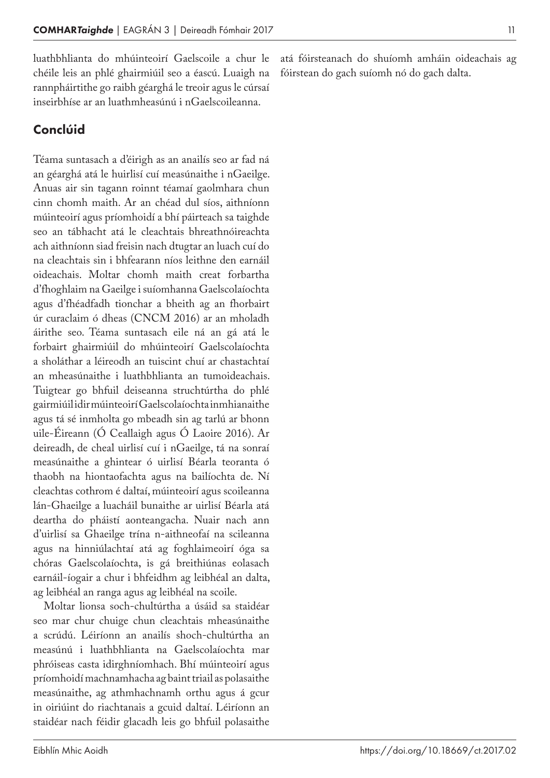luathbhlianta do mhúinteoirí Gaelscoile a chur le chéile leis an phlé ghairmiúil seo a éascú. Luaigh na rannpháirtithe go raibh géarghá le treoir agus le cúrsaí inseirbhíse ar an luathmheasúnú i nGaelscoileanna.

#### Conclúid

Téama suntasach a d'éirigh as an anailís seo ar fad ná an géarghá atá le huirlisí cuí measúnaithe i nGaeilge. Anuas air sin tagann roinnt téamaí gaolmhara chun cinn chomh maith. Ar an chéad dul síos, aithníonn múinteoirí agus príomhoidí a bhí páirteach sa taighde seo an tábhacht atá le cleachtais bhreathnóireachta ach aithníonn siad freisin nach dtugtar an luach cuí do na cleachtais sin i bhfearann níos leithne den earnáil oideachais. Moltar chomh maith creat forbartha d'fhoghlaim na Gaeilge i suíomhanna Gaelscolaíochta agus d'fhéadfadh tionchar a bheith ag an fhorbairt úr curaclaim ó dheas (CNCM 2016) ar an mholadh áirithe seo. Téama suntasach eile ná an gá atá le forbairt ghairmiúil do mhúinteoirí Gaelscolaíochta a sholáthar a léireodh an tuiscint chuí ar chastachtaí an mheasúnaithe i luathbhlianta an tumoideachais. Tuigtear go bhfuil deiseanna struchtúrtha do phlé gairmiúil idir múinteoirí Gaelscolaíochta inmhianaithe agus tá sé inmholta go mbeadh sin ag tarlú ar bhonn uile-Éireann (Ó Ceallaigh agus Ó Laoire 2016). Ar deireadh, de cheal uirlisí cuí i nGaeilge, tá na sonraí measúnaithe a ghintear ó uirlisí Béarla teoranta ó thaobh na hiontaofachta agus na bailíochta de. Ní cleachtas cothrom é daltaí, múinteoirí agus scoileanna lán-Ghaeilge a luacháil bunaithe ar uirlisí Béarla atá deartha do pháistí aonteangacha. Nuair nach ann d'uirlisí sa Ghaeilge trína n-aithneofaí na scileanna agus na hinniúlachtaí atá ag foghlaimeoirí óga sa chóras Gaelscolaíochta, is gá breithiúnas eolasach earnáil-íogair a chur i bhfeidhm ag leibhéal an dalta, ag leibhéal an ranga agus ag leibhéal na scoile.

Moltar lionsa soch-chultúrtha a úsáid sa staidéar seo mar chur chuige chun cleachtais mheasúnaithe a scrúdú. Léiríonn an anailís shoch-chultúrtha an measúnú i luathbhlianta na Gaelscolaíochta mar phróiseas casta idirghníomhach. Bhí múinteoirí agus príomhoidí machnamhacha ag baint triail as polasaithe measúnaithe, ag athmhachnamh orthu agus á gcur in oiriúint do riachtanais a gcuid daltaí. Léiríonn an staidéar nach féidir glacadh leis go bhfuil polasaithe

atá fóirsteanach do shuíomh amháin oideachais ag fóirstean do gach suíomh nó do gach dalta.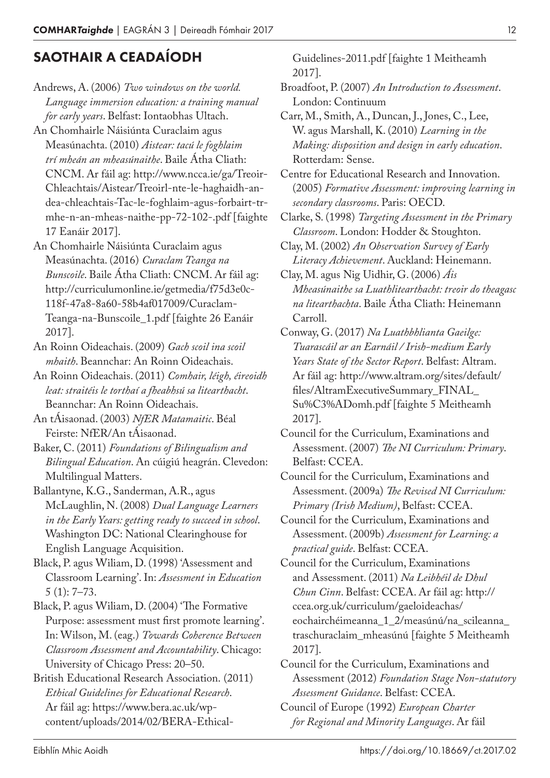## SAOTHAIR A CEADAÍODH

Andrews, A. (2006) *Two windows on the world. Language immersion education: a training manual for early years*. Belfast: Iontaobhas Ultach.

An Chomhairle Náisiúnta Curaclaim agus Measúnachta. (2010) *Aistear: tacú le foghlaim trí mheán an mheasúnaithe*. Baile Átha Cliath: CNCM. Ar fáil ag: http://www.ncca.ie/ga/Treoir-Chleachtais/Aistear/Treoirl-nte-le-haghaidh-andea-chleachtais-Tac-le-foghlaim-agus-forbairt-trmhe-n-an-mheas-naithe-pp-72-102-.pdf [faighte 17 Eanáir 2017].

An Chomhairle Náisiúnta Curaclaim agus Measúnachta. (2016) *Curaclam Teanga na Bunscoile*. Baile Átha Cliath: CNCM. Ar fáil ag: http://curriculumonline.ie/getmedia/f75d3e0c-118f-47a8-8a60-58b4af017009/Curaclam-Teanga-na-Bunscoile\_1.pdf [faighte 26 Eanáir 2017].

An Roinn Oideachais. (2009) *Gach scoil ina scoil mhaith*. Beannchar: An Roinn Oideachais.

An Roinn Oideachais. (2011) *Comhair, léigh, éireoidh leat: straitéis le torthaí a fheabhsú sa litearthacht*. Beannchar: An Roinn Oideachais.

An tÁisaonad. (2003) *NfER Matamaitic*. Béal Feirste: NfER/An tÁisaonad.

Baker, C. (2011) *Foundations of Bilingualism and Bilingual Education*. An cúigiú heagrán. Clevedon: Multilingual Matters.

Ballantyne, K.G., Sanderman, A.R., agus McLaughlin, N. (2008) *Dual Language Learners in the Early Years: getting ready to succeed in school*. Washington DC: National Clearinghouse for English Language Acquisition.

Black, P. agus Wiliam, D. (1998) 'Assessment and Classroom Learning'. In: *Assessment in Education* 5 (1): 7–73.

Black, P. agus Wiliam, D. (2004) 'The Formative Purpose: assessment must first promote learning'. In: Wilson, M. (eag.) *Towards Coherence Between Classroom Assessment and Accountability*. Chicago: University of Chicago Press: 20–50.

British Educational Research Association. (2011) *Ethical Guidelines for Educational Research*. Ar fáil ag: https://www.bera.ac.uk/wpcontent/uploads/2014/02/BERA-EthicalGuidelines-2011.pdf [faighte 1 Meitheamh 2017].

Broadfoot, P. (2007) *An Introduction to Assessment*. London: Continuum

Carr, M., Smith, A., Duncan, J., Jones, C., Lee, W. agus Marshall, K. (2010) *Learning in the Making: disposition and design in early education*. Rotterdam: Sense.

Centre for Educational Research and Innovation. (2005) *Formative Assessment: improving learning in secondary classrooms*. Paris: OECD.

Clarke, S. (1998) *Targeting Assessment in the Primary Classroom*. London: Hodder & Stoughton.

Clay, M. (2002) *An Observation Survey of Early Literacy Achievement*. Auckland: Heinemann.

Clay, M. agus Nig Uidhir, G. (2006) *Áis Mheasúnaithe sa Luathlitearthacht: treoir do theagasc na litearthachta*. Baile Átha Cliath: Heinemann Carroll.

Conway, G. (2017) *Na Luathbhlianta Gaeilge: Tuarascáil ar an Earnáil / Irish-medium Early Years State of the Sector Report*. Belfast: Altram. Ar fáil ag: http://www.altram.org/sites/default/ files/AltramExecutiveSummary\_FINAL\_ Su%C3%ADomh.pdf [faighte 5 Meitheamh 2017].

Council for the Curriculum, Examinations and Assessment. (2007) *The NI Curriculum: Primary*. Belfast: CCEA.

Council for the Curriculum, Examinations and Assessment. (2009a) *The Revised NI Curriculum: Primary (Irish Medium)*, Belfast: CCEA.

Council for the Curriculum, Examinations and Assessment. (2009b) *Assessment for Learning: a practical guide*. Belfast: CCEA.

Council for the Curriculum, Examinations and Assessment. (2011) *Na Leibhéil de Dhul Chun Cinn*. Belfast: CCEA. Ar fáil ag: http:// ccea.org.uk/curriculum/gaeloideachas/ eochairchéimeanna\_1\_2/measúnú/na\_scileanna\_ traschuraclaim\_mheasúnú [faighte 5 Meitheamh 2017].

Council for the Curriculum, Examinations and Assessment (2012) *Foundation Stage Non-statutory Assessment Guidance*. Belfast: CCEA.

Council of Europe (1992) *European Charter for Regional and Minority Languages*. Ar fáil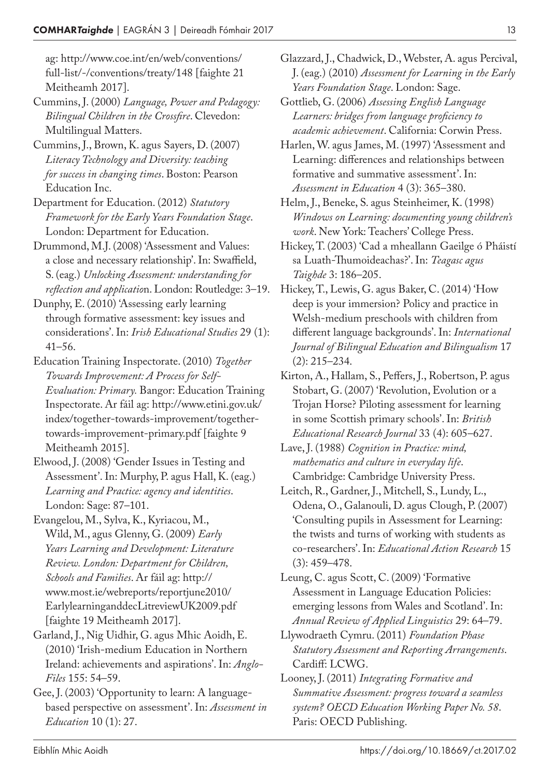ag: http://www.coe.int/en/web/conventions/ full-list/-/conventions/treaty/148 [faighte 21 Meitheamh 2017].

- Cummins, J. (2000) *Language, Power and Pedagogy: Bilingual Children in the Crossfire*. Clevedon: Multilingual Matters.
- Cummins, J., Brown, K. agus Sayers, D. (2007) *Literacy Technology and Diversity: teaching for success in changing times*. Boston: Pearson Education Inc.
- Department for Education. (2012) *Statutory Framework for the Early Years Foundation Stage*. London: Department for Education.
- Drummond, M.J. (2008) 'Assessment and Values: a close and necessary relationship'. In: Swaffield, S. (eag.) *Unlocking Assessment: understanding for reflection and applicatio*n. London: Routledge: 3–19.
- Dunphy, E. (2010) 'Assessing early learning through formative assessment: key issues and considerations'. In: *Irish Educational Studies* 29 (1): 41–56.
- Education Training Inspectorate. (2010) *Together Towards Improvement: A Process for Self-Evaluation: Primary.* Bangor: Education Training Inspectorate. Ar fáil ag: http://www.etini.gov.uk/ index/together-towards-improvement/togethertowards-improvement-primary.pdf [faighte 9 Meitheamh 2015].
- Elwood, J. (2008) 'Gender Issues in Testing and Assessment'. In: Murphy, P. agus Hall, K. (eag.) *Learning and Practice: agency and identities*. London: Sage: 87–101.
- Evangelou, M., Sylva, K., Kyriacou, M., Wild, M., agus Glenny, G. (2009) *Early Years Learning and Development: Literature Review. London: Department for Children, Schools and Families*. Ar fáil ag: http:// www.most.ie/webreports/reportjune2010/ EarlylearninganddecLitreviewUK2009.pdf [faighte 19 Meitheamh 2017].
- Garland, J., Nig Uidhir, G. agus Mhic Aoidh, E. (2010) 'Irish-medium Education in Northern Ireland: achievements and aspirations'. In: *Anglo-Files* 155: 54–59.
- Gee, J. (2003) 'Opportunity to learn: A languagebased perspective on assessment'. In: *Assessment in Education* 10 (1): 27.
- Glazzard, J., Chadwick, D., Webster, A. agus Percival, J. (eag.) (2010) *Assessment for Learning in the Early Years Foundation Stage*. London: Sage.
- Gottlieb, G. (2006) *Assessing English Language Learners: bridges from language proficiency to academic achievement*. California: Corwin Press.
- Harlen, W. agus James, M. (1997) 'Assessment and Learning: differences and relationships between formative and summative assessment'. In: *Assessment in Education* 4 (3): 365–380.
- Helm, J., Beneke, S. agus Steinheimer, K. (1998) *Windows on Learning: documenting young children's work*. New York: Teachers' College Press.
- Hickey, T. (2003) 'Cad a mheallann Gaeilge ó Pháistí sa Luath-Thumoideachas?'. In: *Teagasc agus Taighde* 3: 186–205.
- Hickey, T., Lewis, G. agus Baker, C. (2014) 'How deep is your immersion? Policy and practice in Welsh-medium preschools with children from different language backgrounds'. In: *International Journal of Bilingual Education and Bilingualism* 17 (2): 215–234.
- Kirton, A., Hallam, S., Peffers, J., Robertson, P. agus Stobart, G. (2007) 'Revolution, Evolution or a Trojan Horse? Piloting assessment for learning in some Scottish primary schools'. In: *British Educational Research Journal* 33 (4): 605–627.
- Lave, J. (1988) *Cognition in Practice: mind, mathematics and culture in everyday life*. Cambridge: Cambridge University Press.
- Leitch, R., Gardner, J., Mitchell, S., Lundy, L., Odena, O., Galanouli, D. agus Clough, P. (2007) 'Consulting pupils in Assessment for Learning: the twists and turns of working with students as co-researchers'. In: *Educational Action Research* 15 (3): 459–478.
- Leung, C. agus Scott, C. (2009) 'Formative Assessment in Language Education Policies: emerging lessons from Wales and Scotland'. In: *Annual Review of Applied Linguistics* 29: 64–79.
- Llywodraeth Cymru. (2011) *Foundation Phase Statutory Assessment and Reporting Arrangements*. Cardiff: LCWG.
- Looney, J. (2011) *Integrating Formative and Summative Assessment: progress toward a seamless system? OECD Education Working Paper No. 58*. Paris: OECD Publishing.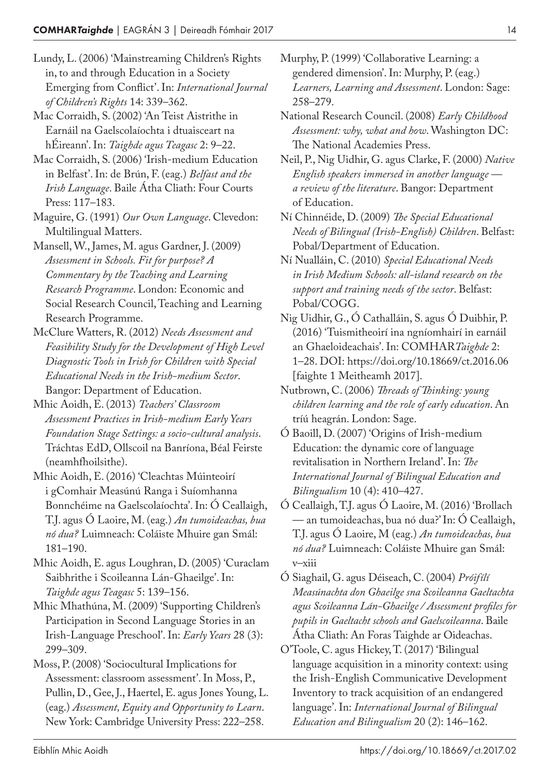- Lundy, L. (2006) 'Mainstreaming Children's Rights in, to and through Education in a Society Emerging from Conflict'. In: *International Journal of Children's Rights* 14: 339–362.
- Mac Corraidh, S. (2002) 'An Teist Aistrithe in Earnáil na Gaelscolaíochta i dtuaisceart na hÉireann'. In: *Taighde agus Teagasc* 2: 9–22.
- Mac Corraidh, S. (2006) 'Irish-medium Education in Belfast'. In: de Brún, F. (eag.) *Belfast and the Irish Language*. Baile Átha Cliath: Four Courts Press: 117–183.

Maguire, G. (1991) *Our Own Language*. Clevedon: Multilingual Matters.

- Mansell, W., James, M. agus Gardner, J. (2009) *Assessment in Schools. Fit for purpose? A Commentary by the Teaching and Learning Research Programme*. London: Economic and Social Research Council, Teaching and Learning Research Programme.
- McClure Watters, R. (2012) *Needs Assessment and Feasibility Study for the Development of High Level Diagnostic Tools in Irish for Children with Special Educational Needs in the Irish-medium Sector*. Bangor: Department of Education.
- Mhic Aoidh, E. (2013) *Teachers' Classroom Assessment Practices in Irish-medium Early Years Foundation Stage Settings: a socio-cultural analysis*. Tráchtas EdD, Ollscoil na Banríona, Béal Feirste (neamhfhoilsithe).
- Mhic Aoidh, E. (2016) 'Cleachtas Múinteoirí i gComhair Measúnú Ranga i Suíomhanna Bonnchéime na Gaelscolaíochta'. In: Ó Ceallaigh, T.J. agus Ó Laoire, M. (eag.) *An tumoideachas, bua nó dua?* Luimneach: Coláiste Mhuire gan Smál: 181–190.
- Mhic Aoidh, E. agus Loughran, D. (2005) 'Curaclam Saibhrithe i Scoileanna Lán-Ghaeilge'. In: *Taighde agus Teagasc* 5: 139–156.
- Mhic Mhathúna, M. (2009) 'Supporting Children's Participation in Second Language Stories in an Irish-Language Preschool'. In: *Early Years* 28 (3): 299–309.
- Moss, P. (2008) 'Sociocultural Implications for Assessment: classroom assessment'. In Moss, P., Pullin, D., Gee, J., Haertel, E. agus Jones Young, L. (eag.) *Assessment, Equity and Opportunity to Learn*. New York: Cambridge University Press: 222–258.
- Murphy, P. (1999) 'Collaborative Learning: a gendered dimension'. In: Murphy, P. (eag.) *Learners, Learning and Assessment*. London: Sage: 258–279.
- National Research Council. (2008) *Early Childhood Assessment: why, what and how*. Washington DC: The National Academies Press.
- Neil, P., Nig Uidhir, G. agus Clarke, F. (2000) *Native English speakers immersed in another language a review of the literature*. Bangor: Department of Education.
- Ní Chinnéide, D. (2009) *The Special Educational Needs of Bilingual (Irish-English) Children*. Belfast: Pobal/Department of Education.
- Ní Nualláin, C. (2010) *Special Educational Needs in Irish Medium Schools: all-island research on the support and training needs of the sector*. Belfast: Pobal/COGG.
- Nig Uidhir, G., Ó Cathalláin, S. agus Ó Duibhir, P. (2016) 'Tuismitheoirí ina ngníomhairí in earnáil an Ghaeloideachais'. In: COMHAR*Taighde* 2: 1–28. DOI: https://doi.org/10.18669/ct.2016.06 [faighte 1 Meitheamh 2017].
- Nutbrown, C. (2006) *Threads of Thinking: young children learning and the role of early education*. An tríú heagrán. London: Sage.
- Ó Baoill, D. (2007) 'Origins of Irish-medium Education: the dynamic core of language revitalisation in Northern Ireland'. In: *The International Journal of Bilingual Education and Bilingualism* 10 (4): 410–427.
- Ó Ceallaigh, T.J. agus Ó Laoire, M. (2016) 'Brollach — an tumoideachas, bua nó dua?' In: Ó Ceallaigh, T.J. agus Ó Laoire, M (eag.) *An tumoideachas, bua nó dua?* Luimneach: Coláiste Mhuire gan Smál: v–xiii
- Ó Siaghail, G. agus Déiseach, C. (2004) *Próifílí Measúnachta don Ghaeilge sna Scoileanna Gaeltachta agus Scoileanna Lán-Ghaeilge / Assessment profiles for pupils in Gaeltacht schools and Gaelscoileanna*. Baile Átha Cliath: An Foras Taighde ar Oideachas.
- O'Toole, C. agus Hickey, T. (2017) 'Bilingual language acquisition in a minority context: using the Irish-English Communicative Development Inventory to track acquisition of an endangered language'. In: *International Journal of Bilingual Education and Bilingualism* 20 (2): 146–162.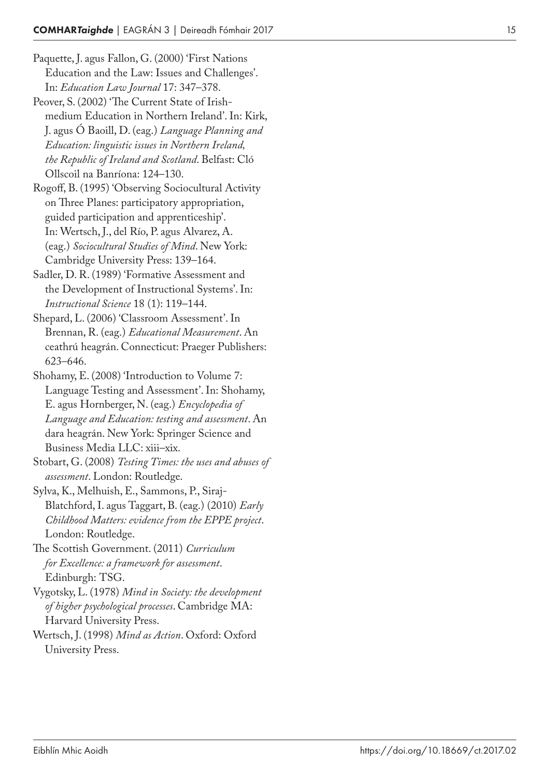Paquette, J. agus Fallon, G. (2000) 'First Nations Education and the Law: Issues and Challenges'. In: *Education Law Journal* 17: 347–378.

Peover, S. (2002) 'The Current State of Irishmedium Education in Northern Ireland'. In: Kirk, J. agus Ó Baoill, D. (eag.) *Language Planning and Education: linguistic issues in Northern Ireland, the Republic of Ireland and Scotland*. Belfast: Cló Ollscoil na Banríona: 124–130.

Rogoff, B. (1995) 'Observing Sociocultural Activity on Three Planes: participatory appropriation, guided participation and apprenticeship'. In: Wertsch, J., del Río, P. agus Alvarez, A. (eag.) *Sociocultural Studies of Mind*. New York: Cambridge University Press: 139–164.

Sadler, D. R. (1989) 'Formative Assessment and the Development of Instructional Systems'. In: *Instructional Science* 18 (1): 119–144.

Shepard, L. (2006) 'Classroom Assessment'. In Brennan, R. (eag.) *Educational Measurement*. An ceathrú heagrán. Connecticut: Praeger Publishers: 623–646.

Shohamy, E. (2008) 'Introduction to Volume 7: Language Testing and Assessment'. In: Shohamy, E. agus Hornberger, N. (eag.) *Encyclopedia of Language and Education: testing and assessment*. An dara heagrán. New York: Springer Science and Business Media LLC: xiii–xix.

Stobart, G. (2008) *Testing Times: the uses and abuses of assessment*. London: Routledge.

Sylva, K., Melhuish, E., Sammons, P., Siraj-Blatchford, I. agus Taggart, B. (eag.) (2010) *Early Childhood Matters: evidence from the EPPE project*. London: Routledge.

The Scottish Government. (2011) *Curriculum for Excellence: a framework for assessment*. Edinburgh: TSG.

Vygotsky, L. (1978) *Mind in Society: the development of higher psychological processes*. Cambridge MA: Harvard University Press.

Wertsch, J. (1998) *Mind as Action*. Oxford: Oxford University Press.